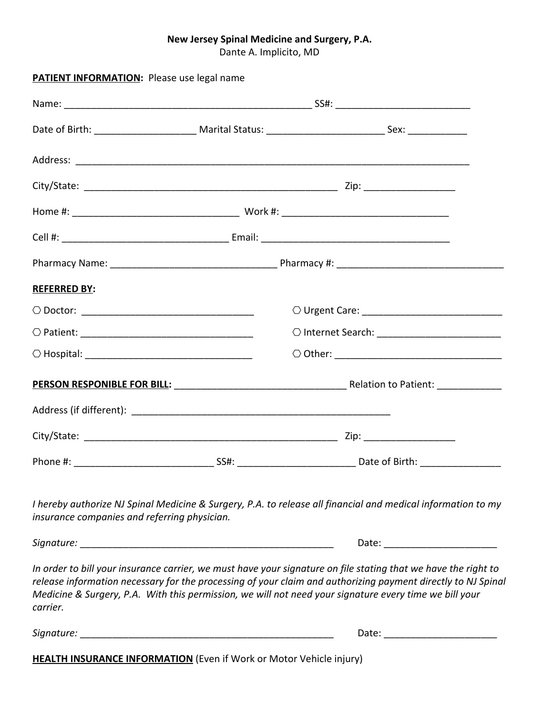## **New Jersey Spinal Medicine and Surgery, P.A.**

Dante A. Implicito, MD

| PATIENT INFORMATION: Please use legal name                          |  |                                                                                                                                                                                                                                                                                                                                          |  |  |
|---------------------------------------------------------------------|--|------------------------------------------------------------------------------------------------------------------------------------------------------------------------------------------------------------------------------------------------------------------------------------------------------------------------------------------|--|--|
|                                                                     |  |                                                                                                                                                                                                                                                                                                                                          |  |  |
|                                                                     |  |                                                                                                                                                                                                                                                                                                                                          |  |  |
|                                                                     |  |                                                                                                                                                                                                                                                                                                                                          |  |  |
|                                                                     |  |                                                                                                                                                                                                                                                                                                                                          |  |  |
|                                                                     |  |                                                                                                                                                                                                                                                                                                                                          |  |  |
|                                                                     |  |                                                                                                                                                                                                                                                                                                                                          |  |  |
|                                                                     |  |                                                                                                                                                                                                                                                                                                                                          |  |  |
| <b>REFERRED BY:</b>                                                 |  |                                                                                                                                                                                                                                                                                                                                          |  |  |
|                                                                     |  |                                                                                                                                                                                                                                                                                                                                          |  |  |
|                                                                     |  |                                                                                                                                                                                                                                                                                                                                          |  |  |
|                                                                     |  |                                                                                                                                                                                                                                                                                                                                          |  |  |
|                                                                     |  |                                                                                                                                                                                                                                                                                                                                          |  |  |
|                                                                     |  |                                                                                                                                                                                                                                                                                                                                          |  |  |
|                                                                     |  |                                                                                                                                                                                                                                                                                                                                          |  |  |
|                                                                     |  |                                                                                                                                                                                                                                                                                                                                          |  |  |
| insurance companies and referring physician.                        |  | I hereby authorize NJ Spinal Medicine & Surgery, P.A. to release all financial and medical information to my                                                                                                                                                                                                                             |  |  |
|                                                                     |  |                                                                                                                                                                                                                                                                                                                                          |  |  |
| carrier.                                                            |  | In order to bill your insurance carrier, we must have your signature on file stating that we have the right to<br>release information necessary for the processing of your claim and authorizing payment directly to NJ Spinal<br>Medicine & Surgery, P.A. With this permission, we will not need your signature every time we bill your |  |  |
|                                                                     |  |                                                                                                                                                                                                                                                                                                                                          |  |  |
| HEALTH INSURANCE INFORMATION (Even if Work or Motor Vehicle injury) |  |                                                                                                                                                                                                                                                                                                                                          |  |  |